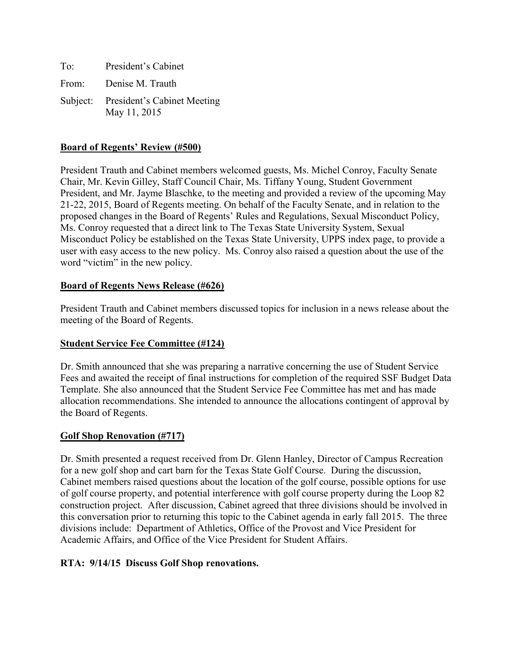| To:   | President's Cabinet                                  |
|-------|------------------------------------------------------|
| From: | Denise M. Trauth                                     |
|       | Subject: President's Cabinet Meeting<br>May 11, 2015 |

### **Board of Regents' Review (#500)**

President Trauth and Cabinet members welcomed guests, Ms. Michel Conroy, Faculty Senate Chair, Mr. Kevin Gilley, Staff Council Chair, Ms. Tiffany Young, Student Government President, and Mr. Jayme Blaschke, to the meeting and provided a review of the upcoming May 21-22, 2015, Board of Regents meeting. On behalf of the Faculty Senate, and in relation to the proposed changes in the Board of Regents' Rules and Regulations, Sexual Misconduct Policy, Ms. Conroy requested that a direct link to The Texas State University System, Sexual Misconduct Policy be established on the Texas State University, UPPS index page, to provide a user with easy access to the new policy. Ms. Conroy also raised a question about the use of the word "victim" in the new policy.

### **Board of Regents News Release (#626)**

President Trauth and Cabinet members discussed topics for inclusion in a news release about the meeting of the Board of Regents.

#### **Student Service Fee Committee (#124)**

Dr. Smith announced that she was preparing a narrative concerning the use of Student Service Fees and awaited the receipt of final instructions for completion of the required SSF Budget Data Template. She also announced that the Student Service Fee Committee has met and has made allocation recommendations. She intended to announce the allocations contingent of approval by the Board of Regents.

#### **Golf Shop Renovation (#717)**

Dr. Smith presented a request received from Dr. Glenn Hanley, Director of Campus Recreation for a new golf shop and cart barn for the Texas State Golf Course. During the discussion, Cabinet members raised questions about the location of the golf course, possible options for use of golf course property, and potential interference with golf course property during the Loop 82 construction project. After discussion, Cabinet agreed that three divisions should be involved in this conversation prior to returning this topic to the Cabinet agenda in early fall 2015. The three divisions include: Department of Athletics, Office of the Provost and Vice President for Academic Affairs, and Office of the Vice President for Student Affairs.

#### **RTA: 9/14/15 Discuss Golf Shop renovations.**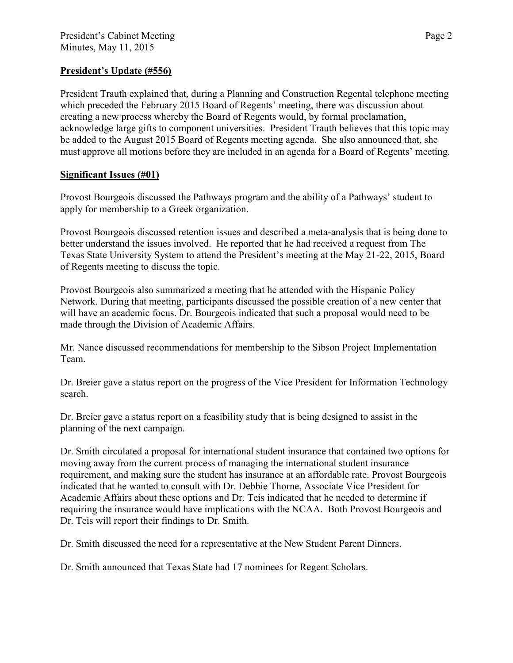# **President's Update (#556)**

President Trauth explained that, during a Planning and Construction Regental telephone meeting which preceded the February 2015 Board of Regents' meeting, there was discussion about creating a new process whereby the Board of Regents would, by formal proclamation, acknowledge large gifts to component universities. President Trauth believes that this topic may be added to the August 2015 Board of Regents meeting agenda. She also announced that, she must approve all motions before they are included in an agenda for a Board of Regents' meeting.

# **Significant Issues (#01)**

Provost Bourgeois discussed the Pathways program and the ability of a Pathways' student to apply for membership to a Greek organization.

Provost Bourgeois discussed retention issues and described a meta-analysis that is being done to better understand the issues involved. He reported that he had received a request from The Texas State University System to attend the President's meeting at the May 21-22, 2015, Board of Regents meeting to discuss the topic.

Provost Bourgeois also summarized a meeting that he attended with the Hispanic Policy Network. During that meeting, participants discussed the possible creation of a new center that will have an academic focus. Dr. Bourgeois indicated that such a proposal would need to be made through the Division of Academic Affairs.

Mr. Nance discussed recommendations for membership to the Sibson Project Implementation Team.

Dr. Breier gave a status report on the progress of the Vice President for Information Technology search.

Dr. Breier gave a status report on a feasibility study that is being designed to assist in the planning of the next campaign.

Dr. Smith circulated a proposal for international student insurance that contained two options for moving away from the current process of managing the international student insurance requirement, and making sure the student has insurance at an affordable rate. Provost Bourgeois indicated that he wanted to consult with Dr. Debbie Thorne, Associate Vice President for Academic Affairs about these options and Dr. Teis indicated that he needed to determine if requiring the insurance would have implications with the NCAA. Both Provost Bourgeois and Dr. Teis will report their findings to Dr. Smith.

Dr. Smith discussed the need for a representative at the New Student Parent Dinners.

Dr. Smith announced that Texas State had 17 nominees for Regent Scholars.